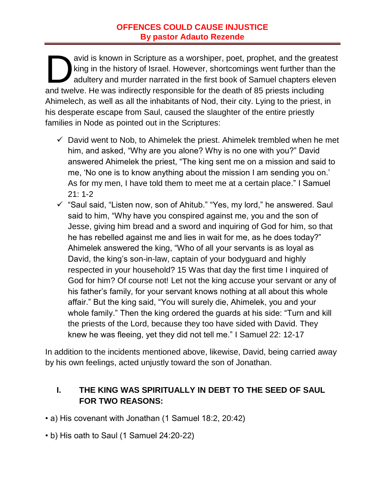### **OFFENCES COULD CAUSE INJUSTICE By pastor Adauto Rezende**

avid is known in Scripture as a worshiper, poet, prophet, and the greatest king in the history of Israel. However, shortcomings went further than the adultery and murder narrated in the first book of Samuel chapters eleven and twelve. He was indirectly responsible for the death of 85 priests including Ahimelech, as well as all the inhabitants of Nod, their city. Lying to the priest, in his desperate escape from Saul, caused the slaughter of the entire priestly families in Node as pointed out in the Scriptures: D<br>mdtus

- $\checkmark$  David went to Nob, to Ahimelek the priest. Ahimelek trembled when he met him, and asked, "Why are you alone? Why is no one with you?" David answered Ahimelek the priest, "The king sent me on a mission and said to me, 'No one is to know anything about the mission I am sending you on.' As for my men, I have told them to meet me at a certain place." I Samuel 21: 1-2
- $\checkmark$  "Saul said, "Listen now, son of Ahitub." "Yes, my lord," he answered. Saul said to him, "Why have you conspired against me, you and the son of Jesse, giving him bread and a sword and inquiring of God for him, so that he has rebelled against me and lies in wait for me, as he does today?" Ahimelek answered the king, "Who of all your servants is as loyal as David, the king's son-in-law, captain of your bodyguard and highly respected in your household? 15 Was that day the first time I inquired of God for him? Of course not! Let not the king accuse your servant or any of his father's family, for your servant knows nothing at all about this whole affair." But the king said, "You will surely die, Ahimelek, you and your whole family." Then the king ordered the guards at his side: "Turn and kill the priests of the Lord, because they too have sided with David. They knew he was fleeing, yet they did not tell me." I Samuel 22: 12-17

In addition to the incidents mentioned above, likewise, David, being carried away by his own feelings, acted unjustly toward the son of Jonathan.

# **I. THE KING WAS SPIRITUALLY IN DEBT TO THE SEED OF SAUL FOR TWO REASONS:**

- a) His covenant with Jonathan (1 Samuel 18:2, 20:42)
- b) His oath to Saul (1 Samuel 24:20-22)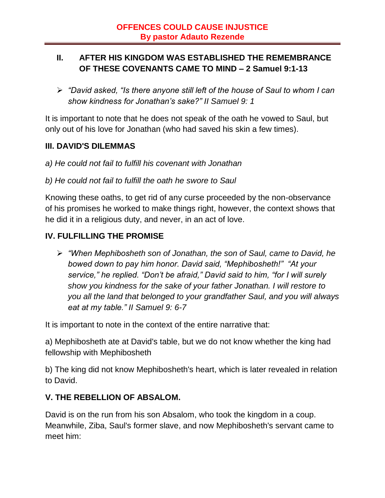### **II. AFTER HIS KINGDOM WAS ESTABLISHED THE REMEMBRANCE OF THESE COVENANTS CAME TO MIND – 2 Samuel 9:1-13**

 *"David asked, "Is there anyone still left of the house of Saul to whom I can show kindness for Jonathan's sake?" II Samuel 9: 1*

It is important to note that he does not speak of the oath he vowed to Saul, but only out of his love for Jonathan (who had saved his skin a few times).

### **III. DAVID'S DILEMMAS**

- *a) He could not fail to fulfill his covenant with Jonathan*
- *b) He could not fail to fulfill the oath he swore to Saul*

Knowing these oaths, to get rid of any curse proceeded by the non-observance of his promises he worked to make things right, however, the context shows that he did it in a religious duty, and never, in an act of love.

# **IV. FULFILLING THE PROMISE**

 *"When Mephibosheth son of Jonathan, the son of Saul, came to David, he bowed down to pay him honor. David said, "Mephibosheth!" "At your service," he replied. "Don't be afraid," David said to him, "for I will surely show you kindness for the sake of your father Jonathan. I will restore to you all the land that belonged to your grandfather Saul, and you will always eat at my table." II Samuel 9: 6-7*

It is important to note in the context of the entire narrative that:

a) Mephibosheth ate at David's table, but we do not know whether the king had fellowship with Mephibosheth

b) The king did not know Mephibosheth's heart, which is later revealed in relation to David.

### **V. THE REBELLION OF ABSALOM.**

David is on the run from his son Absalom, who took the kingdom in a coup. Meanwhile, Ziba, Saul's former slave, and now Mephibosheth's servant came to meet him: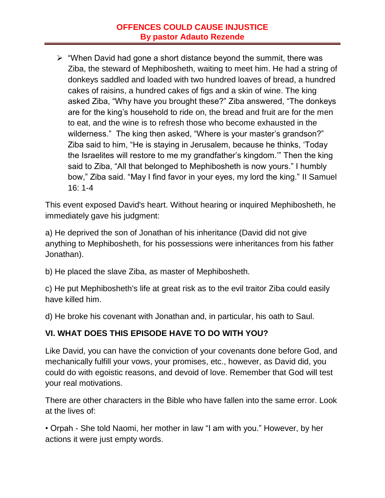### **OFFENCES COULD CAUSE INJUSTICE By pastor Adauto Rezende**

 $\triangleright$  "When David had gone a short distance beyond the summit, there was Ziba, the steward of Mephibosheth, waiting to meet him. He had a string of donkeys saddled and loaded with two hundred loaves of bread, a hundred cakes of raisins, a hundred cakes of figs and a skin of wine. The king asked Ziba, "Why have you brought these?" Ziba answered, "The donkeys are for the king's household to ride on, the bread and fruit are for the men to eat, and the wine is to refresh those who become exhausted in the wilderness." The king then asked, "Where is your master's grandson?" Ziba said to him, "He is staying in Jerusalem, because he thinks, 'Today the Israelites will restore to me my grandfather's kingdom.'" Then the king said to Ziba, "All that belonged to Mephibosheth is now yours." I humbly bow," Ziba said. "May I find favor in your eyes, my lord the king." II Samuel 16: 1-4

This event exposed David's heart. Without hearing or inquired Mephibosheth, he immediately gave his judgment:

a) He deprived the son of Jonathan of his inheritance (David did not give anything to Mephibosheth, for his possessions were inheritances from his father Jonathan).

b) He placed the slave Ziba, as master of Mephibosheth.

c) He put Mephibosheth's life at great risk as to the evil traitor Ziba could easily have killed him.

d) He broke his covenant with Jonathan and, in particular, his oath to Saul.

### **VI. WHAT DOES THIS EPISODE HAVE TO DO WITH YOU?**

Like David, you can have the conviction of your covenants done before God, and mechanically fulfill your vows, your promises, etc., however, as David did, you could do with egoistic reasons, and devoid of love. Remember that God will test your real motivations.

There are other characters in the Bible who have fallen into the same error. Look at the lives of:

• Orpah - She told Naomi, her mother in law "I am with you." However, by her actions it were just empty words.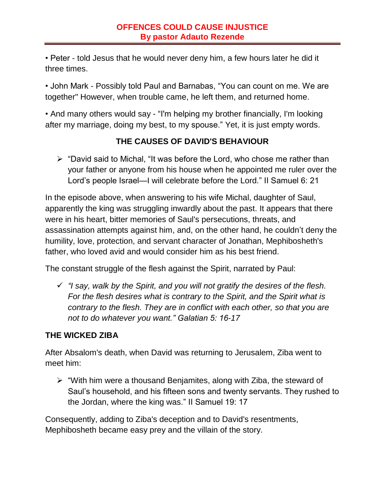• Peter - told Jesus that he would never deny him, a few hours later he did it three times.

• John Mark - Possibly told Paul and Barnabas, "You can count on me. We are together" However, when trouble came, he left them, and returned home.

• And many others would say - "I'm helping my brother financially, I'm looking after my marriage, doing my best, to my spouse." Yet, it is just empty words.

# **THE CAUSES OF DAVID'S BEHAVIOUR**

 $\triangleright$  "David said to Michal, "It was before the Lord, who chose me rather than your father or anyone from his house when he appointed me ruler over the Lord's people Israel—I will celebrate before the Lord." II Samuel 6: 21

In the episode above, when answering to his wife Michal, daughter of Saul, apparently the king was struggling inwardly about the past. It appears that there were in his heart, bitter memories of Saul's persecutions, threats, and assassination attempts against him, and, on the other hand, he couldn't deny the humility, love, protection, and servant character of Jonathan, Mephibosheth's father, who loved avid and would consider him as his best friend.

The constant struggle of the flesh against the Spirit, narrated by Paul:

 *"I say, walk by the Spirit, and you will not gratify the desires of the flesh. For the flesh desires what is contrary to the Spirit, and the Spirit what is contrary to the flesh. They are in conflict with each other, so that you are not to do whatever you want." Galatian 5: 16-17*

### **THE WICKED ZIBA**

After Absalom's death, when David was returning to Jerusalem, Ziba went to meet him:

 $\triangleright$  "With him were a thousand Benjamites, along with Ziba, the steward of Saul's household, and his fifteen sons and twenty servants. They rushed to the Jordan, where the king was." II Samuel 19: 17

Consequently, adding to Ziba's deception and to David's resentments, Mephibosheth became easy prey and the villain of the story.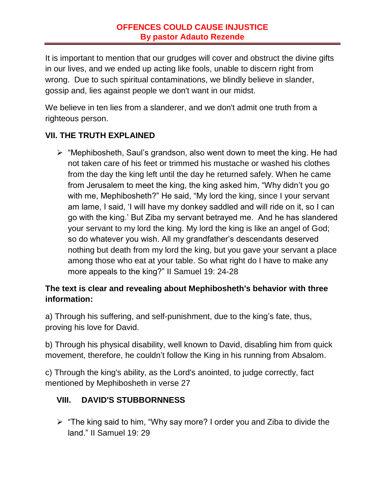It is important to mention that our grudges will cover and obstruct the divine gifts in our lives, and we ended up acting like fools, unable to discern right from wrong. Due to such spiritual contaminations, we blindly believe in slander, gossip and, lies against people we don't want in our midst.

We believe in ten lies from a slanderer, and we don't admit one truth from a righteous person.

# **VII. THE TRUTH EXPLAINED**

 $\triangleright$  "Mephibosheth, Saul's grandson, also went down to meet the king. He had not taken care of his feet or trimmed his mustache or washed his clothes from the day the king left until the day he returned safely. When he came from Jerusalem to meet the king, the king asked him, "Why didn't you go with me, Mephibosheth?" He said, "My lord the king, since I your servant am lame, I said, 'I will have my donkey saddled and will ride on it, so I can go with the king.' But Ziba my servant betrayed me. And he has slandered your servant to my lord the king. My lord the king is like an angel of God; so do whatever you wish. All my grandfather's descendants deserved nothing but death from my lord the king, but you gave your servant a place among those who eat at your table. So what right do I have to make any more appeals to the king?" II Samuel 19: 24-28

### **The text is clear and revealing about Mephibosheth's behavior with three information:**

a) Through his suffering, and self-punishment, due to the king's fate, thus, proving his love for David.

b) Through his physical disability, well known to David, disabling him from quick movement, therefore, he couldn't follow the King in his running from Absalom.

c) Through the king's ability, as the Lord's anointed, to judge correctly, fact mentioned by Mephibosheth in verse 27

### **VIII. DAVID'S STUBBORNNESS**

 $\triangleright$  "The king said to him, "Why say more? I order you and Ziba to divide the land." II Samuel 19: 29